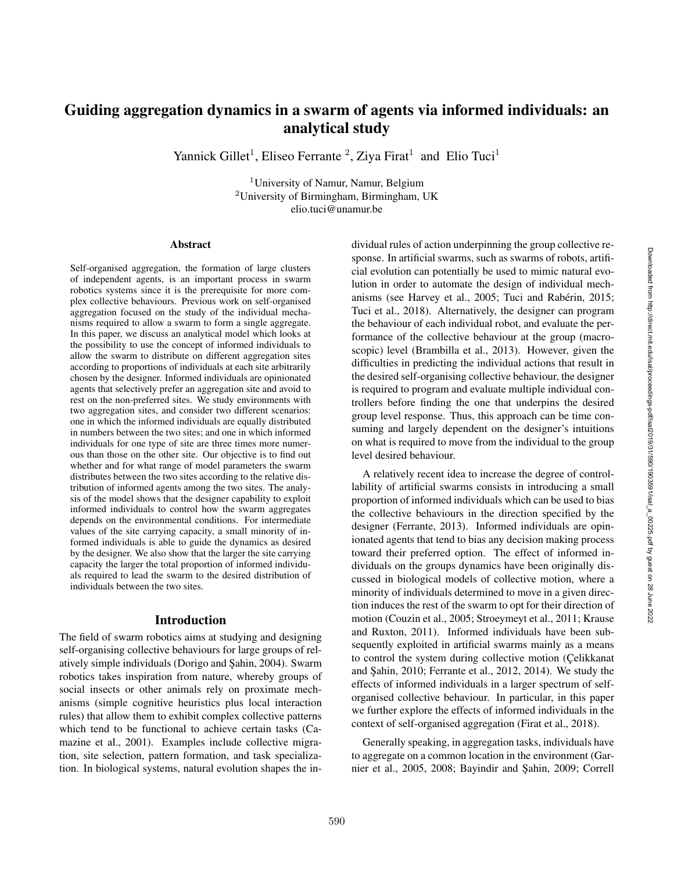# Guiding aggregation dynamics in a swarm of agents via informed individuals: an analytical study

Yannick Gillet<sup>1</sup>, Eliseo Ferrante<sup>2</sup>, Ziya Firat<sup>1</sup> and Elio Tuci<sup>1</sup>

<sup>1</sup>University of Namur, Namur, Belgium <sup>2</sup>University of Birmingham, Birmingham, UK elio.tuci@unamur.be

#### Abstract

Self-organised aggregation, the formation of large clusters of independent agents, is an important process in swarm robotics systems since it is the prerequisite for more complex collective behaviours. Previous work on self-organised aggregation focused on the study of the individual mechanisms required to allow a swarm to form a single aggregate. In this paper, we discuss an analytical model which looks at the possibility to use the concept of informed individuals to allow the swarm to distribute on different aggregation sites according to proportions of individuals at each site arbitrarily chosen by the designer. Informed individuals are opinionated agents that selectively prefer an aggregation site and avoid to rest on the non-preferred sites. We study environments with two aggregation sites, and consider two different scenarios: one in which the informed individuals are equally distributed in numbers between the two sites; and one in which informed individuals for one type of site are three times more numerous than those on the other site. Our objective is to find out whether and for what range of model parameters the swarm distributes between the two sites according to the relative distribution of informed agents among the two sites. The analysis of the model shows that the designer capability to exploit informed individuals to control how the swarm aggregates depends on the environmental conditions. For intermediate values of the site carrying capacity, a small minority of informed individuals is able to guide the dynamics as desired by the designer. We also show that the larger the site carrying capacity the larger the total proportion of informed individuals required to lead the swarm to the desired distribution of individuals between the two sites.

### Introduction

The field of swarm robotics aims at studying and designing self-organising collective behaviours for large groups of relatively simple individuals (Dorigo and Şahin, 2004). Swarm robotics takes inspiration from nature, whereby groups of social insects or other animals rely on proximate mechanisms (simple cognitive heuristics plus local interaction rules) that allow them to exhibit complex collective patterns which tend to be functional to achieve certain tasks (Camazine et al., 2001). Examples include collective migration, site selection, pattern formation, and task specialization. In biological systems, natural evolution shapes the individual rules of action underpinning the group collective response. In artificial swarms, such as swarms of robots, artificial evolution can potentially be used to mimic natural evolution in order to automate the design of individual mechanisms (see Harvey et al., 2005; Tuci and Rabérin, 2015; Tuci et al., 2018). Alternatively, the designer can program the behaviour of each individual robot, and evaluate the performance of the collective behaviour at the group (macroscopic) level (Brambilla et al., 2013). However, given the difficulties in predicting the individual actions that result in the desired self-organising collective behaviour, the designer is required to program and evaluate multiple individual controllers before finding the one that underpins the desired group level response. Thus, this approach can be time consuming and largely dependent on the designer's intuitions on what is required to move from the individual to the group level desired behaviour.

A relatively recent idea to increase the degree of controllability of artificial swarms consists in introducing a small proportion of informed individuals which can be used to bias the collective behaviours in the direction specified by the designer (Ferrante, 2013). Informed individuals are opinionated agents that tend to bias any decision making process toward their preferred option. The effect of informed individuals on the groups dynamics have been originally discussed in biological models of collective motion, where a minority of individuals determined to move in a given direction induces the rest of the swarm to opt for their direction of motion (Couzin et al., 2005; Stroeymeyt et al., 2011; Krause and Ruxton, 2011). Informed individuals have been subsequently exploited in artificial swarms mainly as a means to control the system during collective motion (Çelikkanat and Şahin, 2010; Ferrante et al., 2012, 2014). We study the effects of informed individuals in a larger spectrum of selforganised collective behaviour. In particular, in this paper we further explore the effects of informed individuals in the context of self-organised aggregation (Firat et al., 2018).

Generally speaking, in aggregation tasks, individuals have to aggregate on a common location in the environment (Garnier et al., 2005, 2008; Bayindir and Şahin, 2009; Correll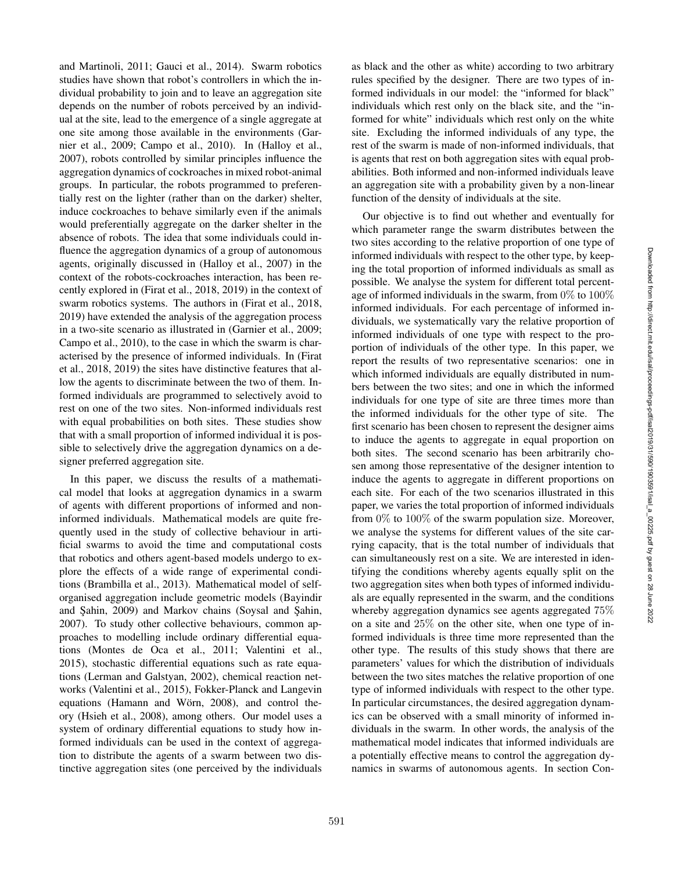and Martinoli, 2011; Gauci et al., 2014). Swarm robotics studies have shown that robot's controllers in which the individual probability to join and to leave an aggregation site depends on the number of robots perceived by an individual at the site, lead to the emergence of a single aggregate at one site among those available in the environments (Garnier et al., 2009; Campo et al., 2010). In (Halloy et al., 2007), robots controlled by similar principles influence the aggregation dynamics of cockroaches in mixed robot-animal groups. In particular, the robots programmed to preferentially rest on the lighter (rather than on the darker) shelter, induce cockroaches to behave similarly even if the animals would preferentially aggregate on the darker shelter in the absence of robots. The idea that some individuals could influence the aggregation dynamics of a group of autonomous agents, originally discussed in (Halloy et al., 2007) in the context of the robots-cockroaches interaction, has been recently explored in (Firat et al., 2018, 2019) in the context of swarm robotics systems. The authors in (Firat et al., 2018, 2019) have extended the analysis of the aggregation process in a two-site scenario as illustrated in (Garnier et al., 2009; Campo et al., 2010), to the case in which the swarm is characterised by the presence of informed individuals. In (Firat et al., 2018, 2019) the sites have distinctive features that allow the agents to discriminate between the two of them. Informed individuals are programmed to selectively avoid to rest on one of the two sites. Non-informed individuals rest with equal probabilities on both sites. These studies show that with a small proportion of informed individual it is possible to selectively drive the aggregation dynamics on a designer preferred aggregation site.

In this paper, we discuss the results of a mathematical model that looks at aggregation dynamics in a swarm of agents with different proportions of informed and noninformed individuals. Mathematical models are quite frequently used in the study of collective behaviour in artificial swarms to avoid the time and computational costs that robotics and others agent-based models undergo to explore the effects of a wide range of experimental conditions (Brambilla et al., 2013). Mathematical model of selforganised aggregation include geometric models (Bayindir and Şahin, 2009) and Markov chains (Soysal and Şahin, 2007). To study other collective behaviours, common approaches to modelling include ordinary differential equations (Montes de Oca et al., 2011; Valentini et al., 2015), stochastic differential equations such as rate equations (Lerman and Galstyan, 2002), chemical reaction networks (Valentini et al., 2015), Fokker-Planck and Langevin equations (Hamann and Wörn, 2008), and control theory (Hsieh et al., 2008), among others. Our model uses a system of ordinary differential equations to study how informed individuals can be used in the context of aggregation to distribute the agents of a swarm between two distinctive aggregation sites (one perceived by the individuals

as black and the other as white) according to two arbitrary rules specified by the designer. There are two types of informed individuals in our model: the "informed for black" individuals which rest only on the black site, and the "informed for white" individuals which rest only on the white site. Excluding the informed individuals of any type, the rest of the swarm is made of non-informed individuals, that is agents that rest on both aggregation sites with equal probabilities. Both informed and non-informed individuals leave an aggregation site with a probability given by a non-linear function of the density of individuals at the site.

Our objective is to find out whether and eventually for which parameter range the swarm distributes between the two sites according to the relative proportion of one type of informed individuals with respect to the other type, by keeping the total proportion of informed individuals as small as possible. We analyse the system for different total percentage of informed individuals in the swarm, from  $0\%$  to  $100\%$ informed individuals. For each percentage of informed individuals, we systematically vary the relative proportion of informed individuals of one type with respect to the proportion of individuals of the other type. In this paper, we report the results of two representative scenarios: one in which informed individuals are equally distributed in numbers between the two sites; and one in which the informed individuals for one type of site are three times more than the informed individuals for the other type of site. The first scenario has been chosen to represent the designer aims to induce the agents to aggregate in equal proportion on both sites. The second scenario has been arbitrarily chosen among those representative of the designer intention to induce the agents to aggregate in different proportions on each site. For each of the two scenarios illustrated in this paper, we varies the total proportion of informed individuals from 0% to 100% of the swarm population size. Moreover, we analyse the systems for different values of the site carrying capacity, that is the total number of individuals that can simultaneously rest on a site. We are interested in identifying the conditions whereby agents equally split on the two aggregation sites when both types of informed individuals are equally represented in the swarm, and the conditions whereby aggregation dynamics see agents aggregated 75% on a site and 25% on the other site, when one type of informed individuals is three time more represented than the other type. The results of this study shows that there are parameters' values for which the distribution of individuals between the two sites matches the relative proportion of one type of informed individuals with respect to the other type. In particular circumstances, the desired aggregation dynamics can be observed with a small minority of informed individuals in the swarm. In other words, the analysis of the mathematical model indicates that informed individuals are a potentially effective means to control the aggregation dynamics in swarms of autonomous agents. In section Con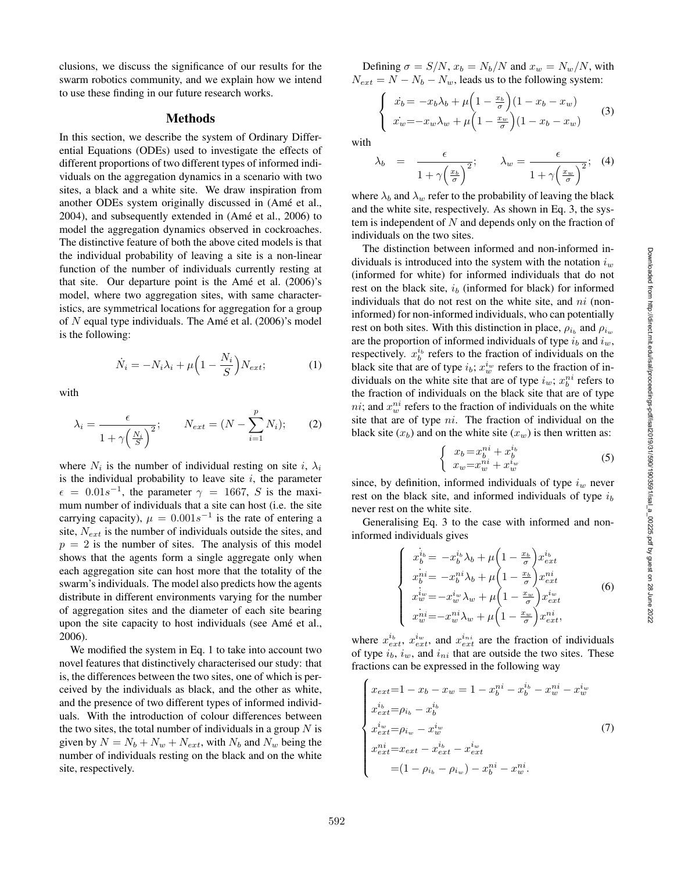clusions, we discuss the significance of our results for the swarm robotics community, and we explain how we intend to use these finding in our future research works.

#### Methods

In this section, we describe the system of Ordinary Differential Equations (ODEs) used to investigate the effects of different proportions of two different types of informed individuals on the aggregation dynamics in a scenario with two sites, a black and a white site. We draw inspiration from another ODEs system originally discussed in (Amé et al.,  $2004$ ), and subsequently extended in (Amé et al.,  $2006$ ) to model the aggregation dynamics observed in cockroaches. The distinctive feature of both the above cited models is that the individual probability of leaving a site is a non-linear function of the number of individuals currently resting at that site. Our departure point is the Amé et al.  $(2006)$ 's model, where two aggregation sites, with same characteristics, are symmetrical locations for aggregation for a group of  $N$  equal type individuals. The Amé et al. (2006)'s model is the following:

$$
\dot{N}_i = -N_i \lambda_i + \mu \left( 1 - \frac{N_i}{S} \right) N_{ext};\tag{1}
$$

with

$$
\lambda_i = \frac{\epsilon}{1 + \gamma \left(\frac{N_i}{S}\right)^2}; \qquad N_{ext} = (N - \sum_{i=1}^p N_i); \qquad (2)
$$

where  $N_i$  is the number of individual resting on site i,  $\lambda_i$ is the individual probability to leave site  $i$ , the parameter  $\epsilon = 0.01s^{-1}$ , the parameter  $\gamma = 1667$ , S is the maximum number of individuals that a site can host (i.e. the site carrying capacity),  $\mu = 0.001s^{-1}$  is the rate of entering a site,  $N_{ext}$  is the number of individuals outside the sites, and  $p = 2$  is the number of sites. The analysis of this model shows that the agents form a single aggregate only when each aggregation site can host more that the totality of the swarm's individuals. The model also predicts how the agents distribute in different environments varying for the number of aggregation sites and the diameter of each site bearing upon the site capacity to host individuals (see Amé et al., 2006).

We modified the system in Eq. 1 to take into account two novel features that distinctively characterised our study: that is, the differences between the two sites, one of which is perceived by the individuals as black, and the other as white, and the presence of two different types of informed individuals. With the introduction of colour differences between the two sites, the total number of individuals in a group  $N$  is given by  $N = N_b + N_w + N_{ext}$ , with  $N_b$  and  $N_w$  being the number of individuals resting on the black and on the white site, respectively.

Defining  $\sigma = S/N$ ,  $x_b = N_b/N$  and  $x_w = N_w/N$ , with  $N_{ext} = N - N_b - N_w$ , leads us to the following system:

$$
\begin{cases}\n\dot{x}_b = -x_b \lambda_b + \mu \left( 1 - \frac{x_b}{\sigma} \right) \left( 1 - x_b - x_w \right) \\
\dot{x}_w = -x_w \lambda_w + \mu \left( 1 - \frac{x_w}{\sigma} \right) \left( 1 - x_b - x_w \right)\n\end{cases} \tag{3}
$$

with

$$
\lambda_b = \frac{\epsilon}{1 + \gamma \left(\frac{x_b}{\sigma}\right)^2}; \qquad \lambda_w = \frac{\epsilon}{1 + \gamma \left(\frac{x_w}{\sigma}\right)^2}; \quad (4)
$$

where  $\lambda_b$  and  $\lambda_w$  refer to the probability of leaving the black and the white site, respectively. As shown in Eq. 3, the system is independent of  $N$  and depends only on the fraction of individuals on the two sites.

The distinction between informed and non-informed individuals is introduced into the system with the notation  $i_w$ (informed for white) for informed individuals that do not rest on the black site,  $i_b$  (informed for black) for informed individuals that do not rest on the white site, and  $ni$  (noninformed) for non-informed individuals, who can potentially rest on both sites. With this distinction in place,  $\rho_{i_b}$  and  $\rho_{i_w}$ are the proportion of informed individuals of type  $i_b$  and  $i_w$ , respectively.  $x_b^{i_b}$  refers to the fraction of individuals on the black site that are of type  $i_b$ ;  $x_w^{i_w}$  refers to the fraction of individuals on the white site that are of type  $i_w$ ;  $x_b^{ni}$  refers to the fraction of individuals on the black site that are of type ni; and  $x_w^{ni}$  refers to the fraction of individuals on the white site that are of type  $ni$ . The fraction of individual on the black site  $(x_b)$  and on the white site  $(x_w)$  is then written as:

$$
\begin{cases}\n x_b = x_b^{ni} + x_b^{i_b} \\
 x_w = x_w^{ni} + x_w^{i_w}\n\end{cases} (5)
$$

since, by definition, informed individuals of type  $i_w$  never rest on the black site, and informed individuals of type  $i<sub>b</sub>$ never rest on the white site.

Generalising Eq. 3 to the case with informed and noninformed individuals gives

$$
\begin{cases}\n\dot{x}_b^{i_b} = -x_b^{i_b}\lambda_b + \mu\left(1 - \frac{x_b}{\sigma}\right)x_{ext}^{i_b} \\
\dot{x}_b^{ni} = -x_b^{ni}\lambda_b + \mu\left(1 - \frac{x_b}{\sigma}\right)x_{ext}^{ni} \\
\dot{x}_w^{i_w} = -x_w^{i_w}\lambda_w + \mu\left(1 - \frac{x_w}{\sigma}\right)x_{ext}^{i_w} \\
\dot{x}_w^{ni} = -x_w^{ni}\lambda_w + \mu\left(1 - \frac{x_w}{\sigma}\right)x_{ext}^{ni},\n\end{cases}
$$
\n(6)

where  $x_{ext}^{i_b}$ ,  $x_{ext}^{i_w}$  and  $x_{ext}^{i_{ni}}$  are the fraction of individuals of type  $i_b$ ,  $i_w$ , and  $i_{ni}$  that are outside the two sites. These fractions can be expressed in the following way

$$
\begin{cases}\nx_{ext} = 1 - x_b - x_w = 1 - x_b^{ni} - x_b^{i_b} - x_w^{ni} - x_w^{i_w} \\
x_{ext}^{i_b} = \rho_{i_b} - x_w^{i_b} \\
x_{ext}^{i_w} = \rho_{i_w} - x_w^{i_w} \\
x_{ext}^{ni} = x_{ext} - x_{ext}^{i_b} - x_{ext}^{i_w} \\
= (1 - \rho_{i_b} - \rho_{i_w}) - x_b^{ni} - x_w^{ni}.\n\end{cases}
$$
\n(7)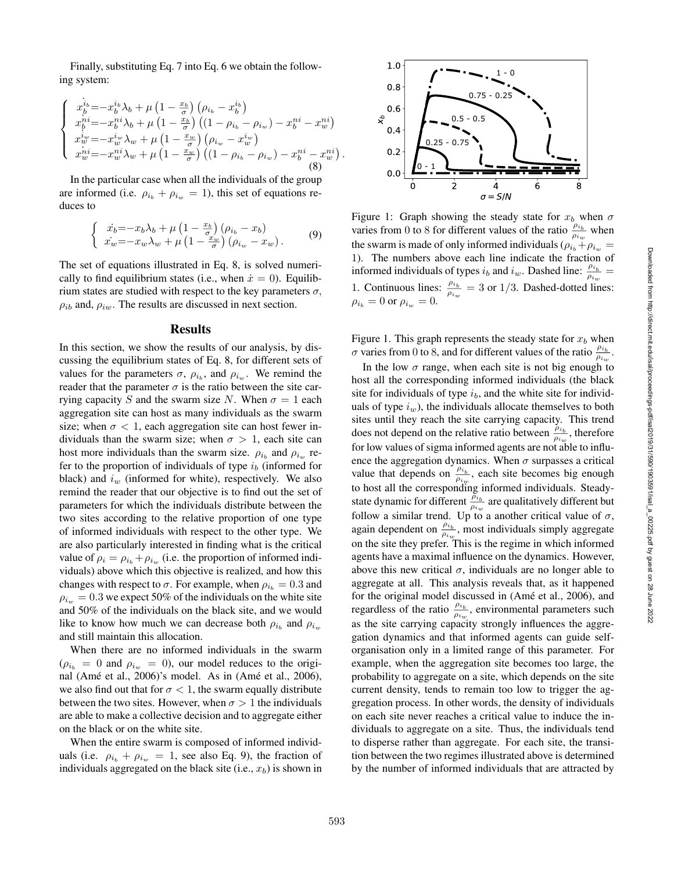Finally, substituting Eq. 7 into Eq. 6 we obtain the following system:

$$
\begin{cases}\n\dot{x}_{b}^{i_{b}} = -x_{b}^{i_{b}}\lambda_{b} + \mu\left(1 - \frac{x_{b}}{\sigma}\right)\left(\rho_{i_{b}} - x_{b}^{i_{b}}\right) \\
x_{b}^{ni} = -x_{b}^{ni}\lambda_{b} + \mu\left(1 - \frac{x_{b}}{\sigma}\right)\left((1 - \rho_{i_{b}} - \rho_{i_{w}}) - x_{b}^{ni} - x_{w}^{ni}\right) \\
\dot{x}_{w}^{i_{w}} = -x_{w}^{i_{w}}\lambda_{w} + \mu\left(1 - \frac{x_{w}}{\sigma}\right)\left(\rho_{i_{w}} - x_{w}^{i_{w}}\right) \\
\dot{x}_{w}^{ni} = -x_{w}^{ni}\lambda_{w} + \mu\left(1 - \frac{x_{w}}{\sigma}\right)\left((1 - \rho_{i_{b}} - \rho_{i_{w}}) - x_{b}^{ni} - x_{w}^{ni}\right).\n\end{cases}
$$

In the particular case when all the individuals of the group are informed (i.e.  $\rho_{i_b} + \rho_{i_w} = 1$ ), this set of equations reduces to

$$
\begin{cases}\n\dot{x}_b = -x_b \lambda_b + \mu \left( 1 - \frac{x_b}{\sigma} \right) (\rho_{i_b} - x_b) \\
\dot{x}_w = -x_w \lambda_w + \mu \left( 1 - \frac{x_w}{\sigma} \right) (\rho_{i_w} - x_w).\n\end{cases} \tag{9}
$$

The set of equations illustrated in Eq. 8, is solved numerically to find equilibrium states (i.e., when  $\dot{x} = 0$ ). Equilibrium states are studied with respect to the key parameters  $\sigma$ ,  $\rho_{ib}$  and,  $\rho_{iw}$ . The results are discussed in next section.

#### Results

In this section, we show the results of our analysis, by discussing the equilibrium states of Eq. 8, for different sets of values for the parameters  $\sigma$ ,  $\rho_{i_b}$ , and  $\rho_{i_w}$ . We remind the reader that the parameter  $\sigma$  is the ratio between the site carrying capacity S and the swarm size N. When  $\sigma = 1$  each aggregation site can host as many individuals as the swarm size; when  $\sigma < 1$ , each aggregation site can host fewer individuals than the swarm size; when  $\sigma > 1$ , each site can host more individuals than the swarm size.  $\rho_{i_b}$  and  $\rho_{i_w}$  refer to the proportion of individuals of type  $i<sub>b</sub>$  (informed for black) and  $i_w$  (informed for white), respectively. We also remind the reader that our objective is to find out the set of parameters for which the individuals distribute between the two sites according to the relative proportion of one type of informed individuals with respect to the other type. We are also particularly interested in finding what is the critical value of  $\rho_i = \rho_{i_b} + \rho_{i_w}$  (i.e. the proportion of informed individuals) above which this objective is realized, and how this changes with respect to  $\sigma$ . For example, when  $\rho_{i_b} = 0.3$  and  $\rho_{i_w} = 0.3$  we expect 50% of the individuals on the white site and 50% of the individuals on the black site, and we would like to know how much we can decrease both  $\rho_{i_b}$  and  $\rho_{i_w}$ and still maintain this allocation.

When there are no informed individuals in the swarm  $(\rho_{i_b} = 0 \text{ and } \rho_{i_w} = 0)$ , our model reduces to the original (Amé et al., 2006)'s model. As in (Amé et al., 2006), we also find out that for  $\sigma < 1$ , the swarm equally distribute between the two sites. However, when  $\sigma > 1$  the individuals are able to make a collective decision and to aggregate either on the black or on the white site.

When the entire swarm is composed of informed individuals (i.e.  $\rho_{i_b} + \rho_{i_w} = 1$ , see also Eq. 9), the fraction of individuals aggregated on the black site  $(i.e., x_b)$  is shown in



Figure 1: Graph showing the steady state for  $x_b$  when  $\sigma$ varies from 0 to 8 for different values of the ratio  $\frac{\rho_{i_b}}{\rho_{i_w}}$  when the swarm is made of only informed individuals ( $\rho_{i_b} + \rho_{i_w} =$ 1). The numbers above each line indicate the fraction of informed individuals of types  $i_b$  and  $i_w$ . Dashed line:  $\frac{\rho_{i_b}}{\rho_{i_w}} =$ 1. Continuous lines:  $\frac{\rho_{i_{w}}}{\rho_{i_{w}}}$  = 3 or 1/3. Dashed-dotted lines:  $\rho_{i_b} = 0$  or  $\rho_{i_w} = 0$ .

Figure 1. This graph represents the steady state for  $x_b$  when *σ* varies from 0 to 8, and for different values of the ratio  $\frac{\rho_{i_b}}{\rho_{i_w}}$ .

In the low  $\sigma$  range, when each site is not big enough to host all the corresponding informed individuals (the black site for individuals of type  $i<sub>b</sub>$ , and the white site for individuals of type  $i_w$ ), the individuals allocate themselves to both sites until they reach the site carrying capacity. This trend does not depend on the relative ratio between  $\frac{\tilde{\rho}_{i_b}}{\rho_{i_w}}$ , therefore for low values of sigma informed agents are not able to influence the aggregation dynamics. When  $\sigma$  surpasses a critical value that depends on  $\frac{\rho_{i_b}}{\rho_{i_w}}$ , each site becomes big enough to host all the corresponding informed individuals. Steadystate dynamic for different  $\frac{\tilde{\rho}_{i_b}}{\rho_{i_w}}$  are qualitatively different but follow a similar trend. Up to a another critical value of  $\sigma$ , again dependent on  $\frac{\rho_{i_b}}{\rho_{i_w}}$ , most individuals simply aggregate on the site they prefer. This is the regime in which informed agents have a maximal influence on the dynamics. However, above this new critical  $\sigma$ , individuals are no longer able to aggregate at all. This analysis reveals that, as it happened for the original model discussed in (Amé et al., 2006), and regardless of the ratio  $\frac{\rho_{i_b}}{\rho_{i_w}}$ , environmental parameters such as the site carrying capacity strongly influences the aggregation dynamics and that informed agents can guide selforganisation only in a limited range of this parameter. For example, when the aggregation site becomes too large, the probability to aggregate on a site, which depends on the site current density, tends to remain too low to trigger the aggregation process. In other words, the density of individuals on each site never reaches a critical value to induce the individuals to aggregate on a site. Thus, the individuals tend to disperse rather than aggregate. For each site, the transition between the two regimes illustrated above is determined by the number of informed individuals that are attracted by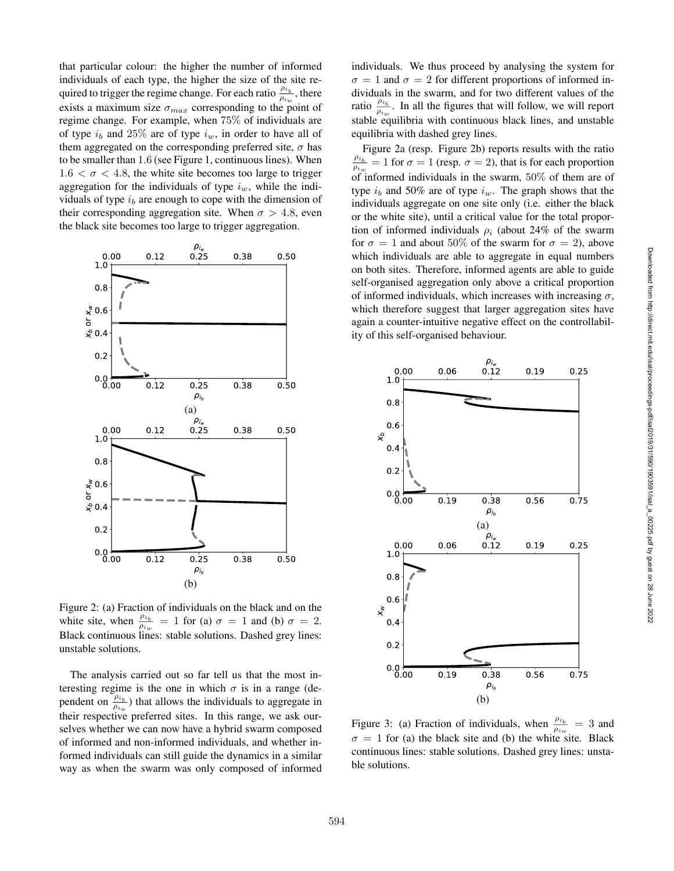that particular colour: the higher the number of informed individuals of each type, the higher the size of the site required to trigger the regime change. For each ratio  $\frac{\rho_{i_b}}{\rho_{i_w}}$ , there exists a maximum size  $\sigma_{max}$  corresponding to the point of regime change. For example, when 75% of individuals are of type  $i_b$  and  $25\%$  are of type  $i_w$ , in order to have all of them aggregated on the corresponding preferred site,  $\sigma$  has to be smaller than 1 . 6 (see Figure 1, continuous lines). When  $1.6 < \sigma < 4.8$ , the white site becomes too large to trigger aggregation for the individuals of type  $i_w$ , while the individuals of type  $i<sub>b</sub>$  are enough to cope with the dimension of their corresponding aggregation site. When  $\sigma > 4.8$ , even the black site becomes too large to trigger aggregation.



Figure 2: (a) Fraction of individuals on the black and on the white site, when  $\frac{\rho_{i_b}}{\rho_{i_w}} = 1$  for (a)  $\sigma = 1$  and (b)  $\sigma = 2$ . Black continuous lines: stable solutions. Dashed grey lines: unstable solutions.

The analysis carried out so far tell us that the most interesting regime is the one in which  $\sigma$  is in a range (dependent on  $\frac{\rho_{i_b}}{\rho_{i_w}}$ ) that allows the individuals to aggregate in their respective preferred sites. In this range, we ask ourselves whether we can now have a hybrid swarm composed of informed and non-informed individuals, and whether informed individuals can still guide the dynamics in a similar way as when the swarm was only composed of informed

individuals. We thus proceed by analysing the system for  $\sigma = 1$  and  $\sigma = 2$  for different proportions of informed individuals in the swarm, and for two different values of the ratio  $\frac{\rho_{i_b}}{\rho_{i_w}}$ . In all the figures that will follow, we will report stable equilibria with continuous black lines, and unstable equilibria with dashed grey lines.

Figure 2a (resp. Figure 2b) reports results with the ratio  $\frac{\rho_{i_b}}{\rho_{i_w}} = 1$  for  $\sigma = 1$  (resp.  $\sigma = 2$ ), that is for each proportion of informed individuals in the swarm, 50% of them are of type  $i_b$  and 50% are of type  $i_w$ . The graph shows that the individuals aggregate on one site only (i.e. either the black or the white site), until a critical value for the total proportion of informed individuals  $\rho_i$  (about 24% of the swarm for  $\sigma = 1$  and about 50% of the swarm for  $\sigma = 2$ ), above which individuals are able to aggregate in equal numbers on both sites. Therefore, informed agents are able to guide self-organised aggregation only above a critical proportion of informed individuals, which increases with increasing  $\sigma$ , which therefore suggest that larger aggregation sites have again a counter-intuitive negative effect on the controllability of this self-organised behaviour.



Figure 3: (a) Fraction of individuals, when  $\frac{\rho_{i_b}}{\rho_{i_w}} = 3$  and  $\sigma = 1$  for (a) the black site and (b) the white site. Black continuous lines: stable solutions. Dashed grey lines: unstable solutions.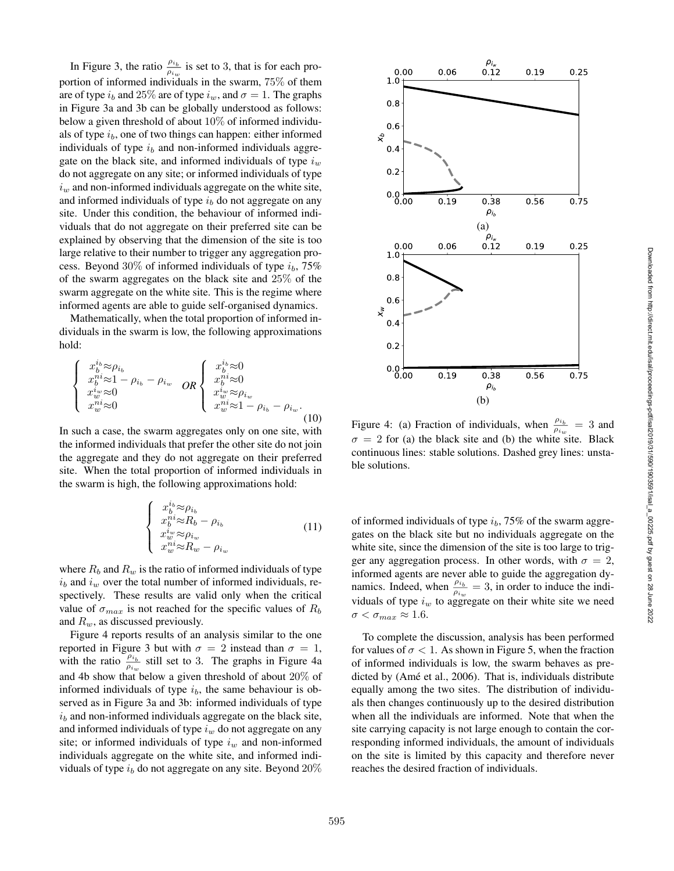In Figure 3, the ratio  $\frac{\rho_{i_b}}{\rho_{i_w}}$  is set to 3, that is for each proportion of informed individuals in the swarm, 75% of them are of type  $i_b$  and  $25\%$  are of type  $i_w$ , and  $\sigma = 1$ . The graphs in Figure 3a and 3b can be globally understood as follows: below a given threshold of about 10% of informed individuals of type  $i<sub>b</sub>$ , one of two things can happen: either informed individuals of type  $i_b$  and non-informed individuals aggregate on the black site, and informed individuals of type  $i_w$ do not aggregate on any site; or informed individuals of type  $i_w$  and non-informed individuals aggregate on the white site, and informed individuals of type  $i<sub>b</sub>$  do not aggregate on any site. Under this condition, the behaviour of informed individuals that do not aggregate on their preferred site can be explained by observing that the dimension of the site is too large relative to their number to trigger any aggregation process. Beyond 30% of informed individuals of type  $i_b$ , 75% of the swarm aggregates on the black site and 25% of the swarm aggregate on the white site. This is the regime where informed agents are able to guide self-organised dynamics.

Mathematically, when the total proportion of informed individuals in the swarm is low, the following approximations hold:

$$
\begin{cases}\n x_b^{i_b} \approx \rho_{i_b} \\
 x_b^{ni} \approx 1 - \rho_{i_b} - \rho_{i_w} \\
 x_w^{i_w} \approx 0 \\
 x_w^{i_w} \approx 0\n\end{cases} \quad OR \begin{cases}\n x_b^{i_b} \approx 0 \\
 x_b^{ni} \approx 0 \\
 x_w^{i_w} \approx \rho_{i_w} \\
 x_w^{ni} \approx 1 - \rho_{i_b} - \rho_{i_w}.\n\end{cases}
$$
\n(10)

In such a case, the swarm aggregates only on one site, with the informed individuals that prefer the other site do not join the aggregate and they do not aggregate on their preferred site. When the total proportion of informed individuals in the swarm is high, the following approximations hold:

$$
\begin{cases}\n x_b^{i_b} \approx \rho_{i_b} \\
 x_b^{ni} \approx R_b - \rho_{i_b} \\
 x_w^{iw} \approx \rho_{i_w} \\
 x_w^{ni} \approx R_w - \rho_{i_w}\n\end{cases} \tag{11}
$$

where  $R_b$  and  $R_w$  is the ratio of informed individuals of type  $i_b$  and  $i_w$  over the total number of informed individuals, respectively. These results are valid only when the critical value of  $\sigma_{max}$  is not reached for the specific values of  $R_b$ and  $R_w$ , as discussed previously.

Figure 4 reports results of an analysis similar to the one reported in Figure 3 but with  $\sigma = 2$  instead than  $\sigma = 1$ , with the ratio  $\frac{\rho_{i_b}}{\rho_{i_w}}$  still set to 3. The graphs in Figure 4a and 4b show that below a given threshold of about 20% of informed individuals of type  $i<sub>b</sub>$ , the same behaviour is observed as in Figure 3a and 3b: informed individuals of type  $i<sub>b</sub>$  and non-informed individuals aggregate on the black site, and informed individuals of type  $i_w$  do not aggregate on any site; or informed individuals of type  $i_w$  and non-informed individuals aggregate on the white site, and informed individuals of type  $i<sub>b</sub>$  do not aggregate on any site. Beyond  $20\%$ 



Figure 4: (a) Fraction of individuals, when  $\frac{\rho_{i_b}}{\rho_{i_w}} = 3$  and  $\sigma = 2$  for (a) the black site and (b) the white site. Black continuous lines: stable solutions. Dashed grey lines: unstable solutions.

of informed individuals of type  $i_b$ , 75% of the swarm aggregates on the black site but no individuals aggregate on the white site, since the dimension of the site is too large to trigger any aggregation process. In other words, with  $\sigma = 2$ , informed agents are never able to guide the aggregation dynamics. Indeed, when  $\frac{\rho_{i_b}}{\rho_{i_w}} = 3$ , in order to induce the individuals of type  $i_w$  to aggregate on their white site we need  $\sigma < \sigma_{max} \approx 1.6.$ 

To complete the discussion, analysis has been performed for values of  $\sigma < 1$ . As shown in Figure 5, when the fraction of informed individuals is low, the swarm behaves as predicted by (Amé et al., 2006). That is, individuals distribute equally among the two sites. The distribution of individuals then changes continuously up to the desired distribution when all the individuals are informed. Note that when the site carrying capacity is not large enough to contain the corresponding informed individuals, the amount of individuals on the site is limited by this capacity and therefore never reaches the desired fraction of individuals.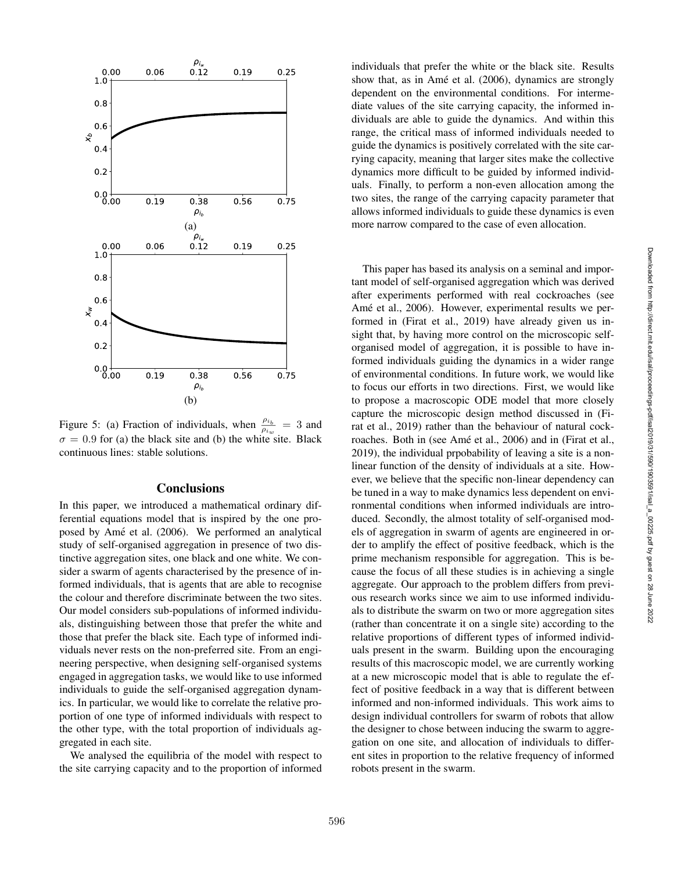

Figure 5: (a) Fraction of individuals, when  $\frac{\rho_{i_b}}{\rho_{i_w}} = 3$  and  $\sigma = 0.9$  for (a) the black site and (b) the white site. Black continuous lines: stable solutions.

## **Conclusions**

In this paper, we introduced a mathematical ordinary differential equations model that is inspired by the one proposed by Amé et al. (2006). We performed an analytical study of self-organised aggregation in presence of two distinctive aggregation sites, one black and one white. We consider a swarm of agents characterised by the presence of informed individuals, that is agents that are able to recognise the colour and therefore discriminate between the two sites. Our model considers sub-populations of informed individuals, distinguishing between those that prefer the white and those that prefer the black site. Each type of informed individuals never rests on the non-preferred site. From an engineering perspective, when designing self-organised systems engaged in aggregation tasks, we would like to use informed individuals to guide the self-organised aggregation dynamics. In particular, we would like to correlate the relative proportion of one type of informed individuals with respect to the other type, with the total proportion of individuals aggregated in each site.

We analysed the equilibria of the model with respect to the site carrying capacity and to the proportion of informed

individuals that prefer the white or the black site. Results show that, as in Amé et al. (2006), dynamics are strongly dependent on the environmental conditions. For intermediate values of the site carrying capacity, the informed individuals are able to guide the dynamics. And within this range, the critical mass of informed individuals needed to guide the dynamics is positively correlated with the site carrying capacity, meaning that larger sites make the collective dynamics more difficult to be guided by informed individuals. Finally, to perform a non-even allocation among the two sites, the range of the carrying capacity parameter that allows informed individuals to guide these dynamics is even more narrow compared to the case of even allocation.

This paper has based its analysis on a seminal and important model of self-organised aggregation which was derived after experiments performed with real cockroaches (see Amé et al., 2006). However, experimental results we performed in (Firat et al., 2019) have already given us insight that, by having more control on the microscopic selforganised model of aggregation, it is possible to have informed individuals guiding the dynamics in a wider range of environmental conditions. In future work, we would like to focus our efforts in two directions. First, we would like to propose a macroscopic ODE model that more closely capture the microscopic design method discussed in (Firat et al., 2019) rather than the behaviour of natural cockroaches. Both in (see Amé et al., 2006) and in (Firat et al., 2019), the individual prpobability of leaving a site is a nonlinear function of the density of individuals at a site. However, we believe that the specific non-linear dependency can be tuned in a way to make dynamics less dependent on environmental conditions when informed individuals are introduced. Secondly, the almost totality of self-organised models of aggregation in swarm of agents are engineered in order to amplify the effect of positive feedback, which is the prime mechanism responsible for aggregation. This is because the focus of all these studies is in achieving a single aggregate. Our approach to the problem differs from previous research works since we aim to use informed individuals to distribute the swarm on two or more aggregation sites (rather than concentrate it on a single site) according to the relative proportions of different types of informed individuals present in the swarm. Building upon the encouraging results of this macroscopic model, we are currently working at a new microscopic model that is able to regulate the effect of positive feedback in a way that is different between informed and non-informed individuals. This work aims to design individual controllers for swarm of robots that allow the designer to chose between inducing the swarm to aggregation on one site, and allocation of individuals to different sites in proportion to the relative frequency of informed robots present in the swarm.